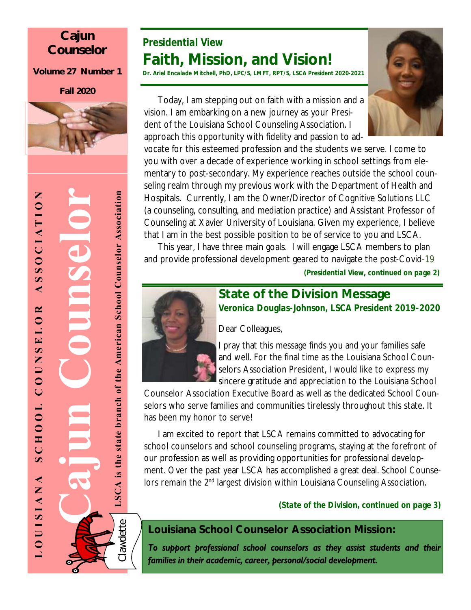#### **Cajun Counselor**

**Volume 27 Number 1**

**Fall 2020**



SSOCIATION

 $\blacktriangleleft$ 

COUNSELOR

SCHOOL

LOUISIANA

**Cajun Counselor** LOUISIANA SCHOOL COUNSELOR ASSOCIATION 1 

**LSCA is the state branch of the American School Counselor Association**

LSCA is the state branch of the American School Counselor Association

Clawdette

# *Presidential View* **Faith, Mission, and Vision!**

*Dr. Ariel Encalade Mitchell, PhD, LPC/S, LMFT, RPT/S, LSCA President 2020-2021*

Today, I am stepping out on faith with a mission and a vision. I am embarking on a new journey as your President of the Louisiana School Counseling Association. I approach this opportunity with fidelity and passion to ad-



vocate for this esteemed profession and the students we serve. I come to you with over a decade of experience working in school settings from elementary to post-secondary. My experience reaches outside the school counseling realm through my previous work with the Department of Health and Hospitals. Currently, I am the Owner/Director of Cognitive Solutions LLC (a counseling, consulting, and mediation practice) and Assistant Professor of Counseling at Xavier University of Louisiana. Given my experience, I believe that I am in the best possible position to be of service to you and LSCA.

This year, I have three main goals. I will engage LSCA members to plan and provide professional development geared to navigate the post-Covid-19

*(Presidential View, continued on page 2)*



**State of the Division Message** *Veronica Douglas-Johnson, LSCA President 2019-2020*

Dear Colleagues,

I pray that this message finds you and your families safe and well. For the final time as the Louisiana School Counselors Association President, I would like to express my sincere gratitude and appreciation to the Louisiana School

Counselor Association Executive Board as well as the dedicated School Counselors who serve families and communities tirelessly throughout this state. It has been my honor to serve!

I am excited to report that LSCA remains committed to advocating for school counselors and school counseling programs, staying at the forefront of our profession as well as providing opportunities for professional development. Over the past year LSCA has accomplished a great deal. School Counselors remain the 2<sup>nd</sup> largest division within Louisiana Counseling Association.

*(State of the Division, continued on page 3)*

**Louisiana School Counselor Association Mission:**

To support professional school counselors as they assist students and their families in their academic, career, personal/social development.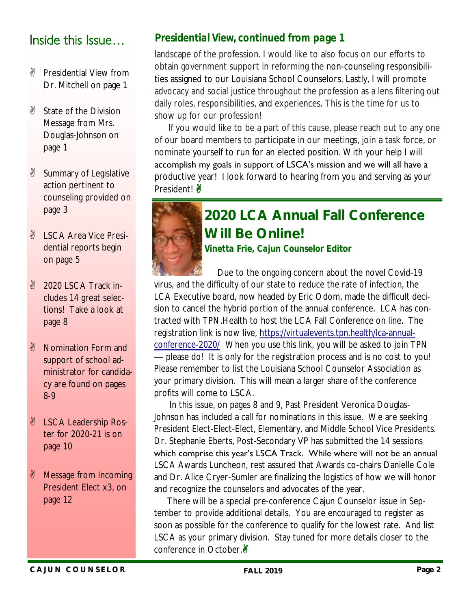- *N* Presidential View from Dr. Mitchell on page 1
- <sup>■</sup> State of the Division Message from Mrs. Douglas-Johnson on page 1
- Summary of Legislative action pertinent to counseling provided on page 3
- <u></u> ISCA Area Vice Presidential reports begin on page 5
- 2020 LSCA Track includes 14 great selections! Take a look at page 8
- Nomination Form and support of school administrator for candidacy are found on pages 8-9
- LSCA Leadership Roster for 2020-21 is on page 10
- Message from Incoming President Elect x3, on page 12

#### Inside this Issue… *Presidential View, continued from page 1*

landscape of the profession. I would like to also focus on our efforts to obtain government support in reforming the non-counseling responsibilities assigned to our Louisiana School Counselors. Lastly, I will promote advocacy and social justice throughout the profession as a lens filtering out daily roles, responsibilities, and experiences. This is the time for us to show up for our profession!

If you would like to be a part of this cause, please reach out to any one of our board members to participate in our meetings, join a task force, or nominate yourself to run for an elected position. With your help I will accomplish my goals in support of LSCA's mission and we will all have a productive year! I look forward to hearing from you and serving as your President!



### **2020 LCA Annual Fall Conference Will Be Online!** *Vinetta Frie, Cajun Counselor Editor*

 Due to the ongoing concern about the novel Covid-19 virus, and the difficulty of our state to reduce the rate of infection, the LCA Executive board, now headed by Eric Odom, made the difficult decision to cancel the hybrid portion of the annual conference. LCA has contracted with TPN.Health to host the LCA Fall Conference on line. The registration link is now live, [https://virtualevents.tpn.health/lca-annual](https://virtualevents.tpn.health/lca-annual-conference-2020/)[conference-2020/](https://virtualevents.tpn.health/lca-annual-conference-2020/) When you use this link, you will be asked to join TPN — please do! It is only for the registration process and is no cost to you! Please remember to list the Louisiana School Counselor Association as your primary division. This will mean a larger share of the conference profits will come to LSCA.

 In this issue, on pages 8 and 9, Past President Veronica Douglas-Johnson has included a call for nominations in this issue. We are seeking President Elect-Elect-Elect, Elementary, and Middle School Vice Presidents. Dr. Stephanie Eberts, Post-Secondary VP has submitted the 14 sessions which comprise this year's LSCA Track. While where will not be an annual LSCA Awards Luncheon, rest assured that Awards co-chairs Danielle Cole and Dr. Alice Cryer-Sumler are finalizing the logistics of how we will honor and recognize the counselors and advocates of the year.

 There will be a special pre-conference Cajun Counselor issue in September to provide additional details. You are encouraged to register as soon as possible for the conference to qualify for the lowest rate. And list LSCA as your primary division. Stay tuned for more details closer to the conference in October.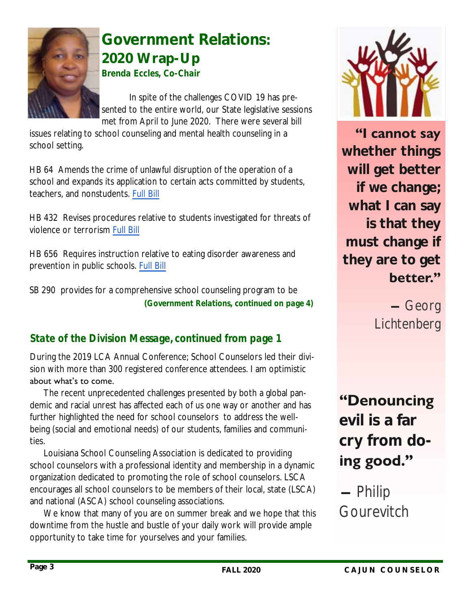

# **Government Relations: 2020 Wrap-Up**

*Brenda Eccles, Co-Chair*

In spite of the challenges COVID 19 has presented to the entire world, our State legislative sessions met from April to June 2020. There were several bill

issues relating to school counseling and mental health counseling in a school setting.

HB 64 Amends the crime of unlawful disruption of the operation of a school and expands its application to certain acts committed by students, teachers, and nonstudents. [Full Bill](about:blank)

HB 432 Revises procedures relative to students investigated for threats of violence or terrorism [Full Bill](about:blank)

HB 656 Requires instruction relative to eating disorder awareness and prevention in public schools. [Full Bill](about:blank)

SB 290 provides for a comprehensive school counseling program to be *(Government Relations, continued on page 4)*

#### *State of the Division Message, continued from page 1*

During the 2019 LCA Annual Conference; School Counselors led their division with more than 300 registered conference attendees. I am optimistic about what's to come.

The recent unprecedented challenges presented by both a global pandemic and racial unrest has affected each of us one way or another and has further highlighted the need for school counselors to address the wellbeing (social and emotional needs) of our students, families and communities.

Louisiana School Counseling Association is dedicated to providing school counselors with a professional identity and membership in a dynamic organization dedicated to promoting the role of school counselors. LSCA encourages all school counselors to be members of their local, state (LSCA) and national (ASCA) school counseling associations.

We know that many of you are on summer break and we hope that this downtime from the hustle and bustle of your daily work will provide ample opportunity to take time for yourselves and your families.



**"I cannot say whether things will get better if we change; what I can say is that they must change if they are to get better."**

> **―** Georg Lichtenberg

**"Denouncing** 

**evil is a far cry from doing good."**

**―** Philip Gourevitch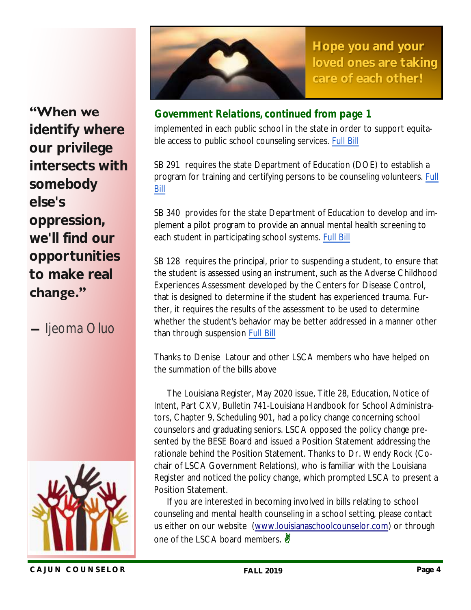**identify where our privilege intersects with somebody else's oppression, we'll find our opportunities to make real change."**

## **―** Ijeoma Oluo





**Hope you and your loved ones are taking care of each other!**

#### **"When we** *Government Relations, continued from page 1*

implemented in each public school in the state in order to support equitable access to public school counseling services. [Full Bill](about:blank)

SB 291 requires the state Department of Education (DOE) to establish a program for training and certifying persons to be counseling volunteers. [Full](about:blank)  [Bill](about:blank)

SB 340 provides for the state Department of Education to develop and implement a pilot program to provide an annual mental health screening to each student in participating school systems. [Full Bill](about:blank)

SB 128 requires the principal, prior to suspending a student, to ensure that the student is assessed using an instrument, such as the Adverse Childhood Experiences Assessment developed by the Centers for Disease Control, that is designed to determine if the student has experienced trauma. Further, it requires the results of the assessment to be used to determine whether the student's behavior may be better addressed in a manner other than through suspension [Full Bill](about:blank)

Thanks to Denise Latour and other LSCA members who have helped on the summation of the bills above

 The Louisiana Register, May 2020 issue, Title 28, Education, Notice of Intent, Part CXV, Bulletin 741-Louisiana Handbook for School Administrators, Chapter 9, Scheduling 901, had a policy change concerning school counselors and graduating seniors. LSCA opposed the policy change presented by the BESE Board and issued a Position Statement addressing the rationale behind the Position Statement. Thanks to Dr. Wendy Rock (Cochair of LSCA Government Relations), who is familiar with the Louisiana Register and noticed the policy change, which prompted LSCA to present a Position Statement.

 If you are interested in becoming involved in bills relating to school counseling and mental health counseling in a school setting, please contact us either on our website [\(www.louisianaschoolcounselor.com\)](about:blank) or through one of the LSCA board members. <sup>■</sup>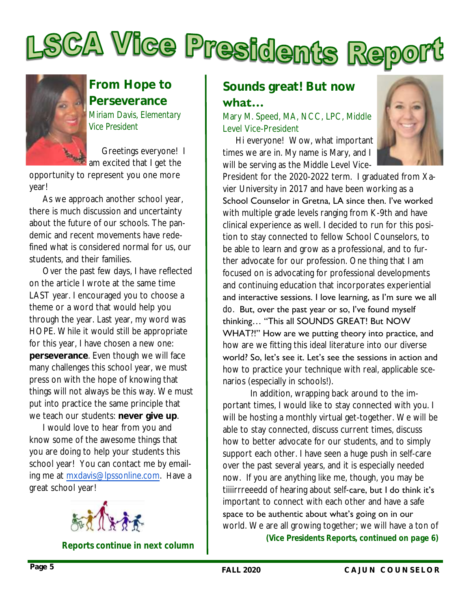



#### **From Hope to Perseverance** *Miriam Davis, Elementary Vice President*

 Greetings everyone! I am excited that I get the

opportunity to represent you one more year!

As we approach another school year, there is much discussion and uncertainty about the future of our schools. The pandemic and recent movements have redefined what is considered normal for us, our students, and their families.

Over the past few days, I have reflected on the article I wrote at the same time LAST year. I encouraged you to choose a theme or a word that would help you through the year. Last year, my word was HOPE. While it would still be appropriate for this year, I have chosen a new one: **perseverance**. Even though we will face many challenges this school year, we must press on with the hope of knowing that things will not always be this way. We must put into practice the same principle that we teach our students: **never give up**.

I would love to hear from you and know some of the awesome things that you are doing to help your students this school year! You can contact me by emailing me at mxdavis@lpssonline.com. Have a great school year!



*Reports continue in next column*

#### **Sounds great! But now what…**

Mary M. Speed, MA, NCC, LPC, Middle Level Vice-President

 Hi everyone! Wow, what important times we are in. My name is Mary, and I will be serving as the Middle Level Vice-



President for the 2020-2022 term. I graduated from Xavier University in 2017 and have been working as a School Counselor in Gretna, LA since then. I've worked with multiple grade levels ranging from K-9th and have clinical experience as well. I decided to run for this position to stay connected to fellow School Counselors, to be able to learn and grow as a professional, and to further advocate for our profession. One thing that I am focused on is advocating for professional developments and continuing education that incorporates experiential and interactive sessions. I love learning, as I'm sure we all do. But, over the past year or so, I've found myself thinking… "This all SOUNDS GREAT! But NOW WHAT!!" How are we putting theory into practice, and how are we fitting this ideal literature into our diverse world? So, let's see it. Let's see the sessions in action and how to practice your technique with real, applicable scenarios (especially in schools!).

In addition, wrapping back around to the important times, I would like to stay connected with you. I will be hosting a monthly virtual get-together. We will be able to stay connected, discuss current times, discuss how to better advocate for our students, and to simply support each other. I have seen a huge push in self-care over the past several years, and it is especially needed now. If you are anything like me, though, you may be tiiiirrreeedd of hearing about self-care, but I do think it's important to connect with each other and have a safe space to be authentic about what's going on in our world. We are all growing together; we will have a ton of *(Vice Presidents Reports, continued on page 6)*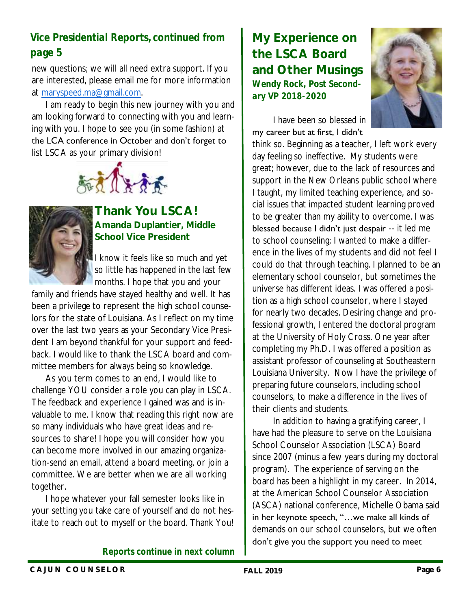#### *Vice Presidential Reports, continued from page 5*

new questions; we will all need extra support. If you are interested, please email me for more information at [maryspeed.ma@gmail.com.](mailto:maryspeed.ma@gmail.com) 

I am ready to begin this new journey with you and am looking forward to connecting with you and learning with you. I hope to see you (in some fashion) at the LCA conference in October and don't forget to list LSCA as your primary division!





#### **Thank You LSCA! Amanda Duplantier, Middle School Vice President**

I know it feels like so much and yet so little has happened in the last few months. I hope that you and your

family and friends have stayed healthy and well. It has been a privilege to represent the high school counselors for the state of Louisiana. As I reflect on my time over the last two years as your Secondary Vice President I am beyond thankful for your support and feedback. I would like to thank the LSCA board and committee members for always being so knowledge.

As you term comes to an end, I would like to challenge YOU consider a role you can play in LSCA. The feedback and experience I gained was and is invaluable to me. I know that reading this right now are so many individuals who have great ideas and resources to share! I hope you will consider how you can become more involved in our amazing organization-send an email, attend a board meeting, or join a committee. We are better when we are all working together.

I hope whatever your fall semester looks like in your setting you take care of yourself and do not hesitate to reach out to myself or the board. Thank You! **My Experience on the LSCA Board and Other Musings** *Wendy Rock, Post Secondary VP 2018-2020*

I have been so blessed in my career but at first, I didn't



think so. Beginning as a teacher, I left work every day feeling so ineffective. My students were great; however, due to the lack of resources and support in the New Orleans public school where I taught, my limited teaching experience, and social issues that impacted student learning proved to be greater than my ability to overcome. I was blessed because I didn't just despair -- it led me to school counseling; I wanted to make a difference in the lives of my students and did not feel I could do that through teaching. I planned to be an elementary school counselor, but sometimes the universe has different ideas. I was offered a position as a high school counselor, where I stayed for nearly two decades. Desiring change and professional growth, I entered the doctoral program at the University of Holy Cross. One year after completing my Ph.D. I was offered a position as assistant professor of counseling at Southeastern Louisiana University. Now I have the privilege of preparing future counselors, including school counselors, to make a difference in the lives of their clients and students.

In addition to having a gratifying career, I have had the pleasure to serve on the Louisiana School Counselor Association (LSCA) Board since 2007 (minus a few years during my doctoral program). The experience of serving on the board has been a highlight in my career. In 2014, at the American School Counselor Association (ASCA) national conference, Michelle Obama said in her keynote speech, "…we make all kinds of demands on our school counselors, but we often don't give you the support you need to meet

*Reports continue in next column*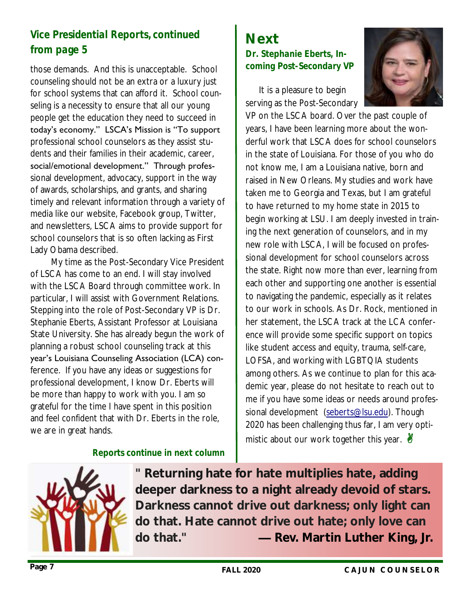#### *Vice Presidential Reports, continued from page 5*

those demands. And this is unacceptable. School counseling should not be an extra or a luxury just for school systems that can afford it. School counseling is a necessity to ensure that all our young people get the education they need to succeed in today's economy." LSCA's Mission is "To support professional school counselors as they assist students and their families in their academic, career, social/emotional development." Through professional development, advocacy, support in the way of awards, scholarships, and grants, and sharing timely and relevant information through a variety of media like our website, Facebook group, Twitter, and newsletters, LSCA aims to provide support for school counselors that is so often lacking as First Lady Obama described.

My time as the Post-Secondary Vice President of LSCA has come to an end. I will stay involved with the LSCA Board through committee work. In particular, I will assist with Government Relations. Stepping into the role of Post-Secondary VP is Dr. Stephanie Eberts, Assistant Professor at Louisiana State University. She has already begun the work of planning a robust school counseling track at this year's Louisiana Counseling Association (LCA) conference. If you have any ideas or suggestions for professional development, I know Dr. Eberts will be more than happy to work with you. I am so grateful for the time I have spent in this position and feel confident that with Dr. Eberts in the role, we are in great hands.

#### **Next** *Dr. Stephanie Eberts, Incoming Post-Secondary VP*

It is a pleasure to begin serving as the Post-Secondary



VP on the LSCA board. Over the past couple of years, I have been learning more about the wonderful work that LSCA does for school counselors in the state of Louisiana. For those of you who do not know me, I am a Louisiana native, born and raised in New Orleans. My studies and work have taken me to Georgia and Texas, but I am grateful to have returned to my home state in 2015 to begin working at LSU. I am deeply invested in training the next generation of counselors, and in my new role with LSCA, I will be focused on professional development for school counselors across the state. Right now more than ever, learning from each other and supporting one another is essential to navigating the pandemic, especially as it relates to our work in schools. As Dr. Rock, mentioned in her statement, the LSCA track at the LCA conference will provide some specific support on topics like student access and equity, trauma, self-care, LOFSA, and working with LGBTQIA students among others. As we continue to plan for this academic year, please do not hesitate to reach out to me if you have some ideas or needs around professional development [\(seberts@lsu.edu\)](about:blank). Though 2020 has been challenging thus far, I am very optimistic about our work together this year.  $\frac{N}{2}$ 

#### *Reports continue in next column*



**" Returning hate for hate multiplies hate, adding deeper darkness to a night already devoid of stars. Darkness cannot drive out darkness; only light can do that. Hate cannot drive out hate; only love can do that." — Rev. Martin Luther King, Jr.**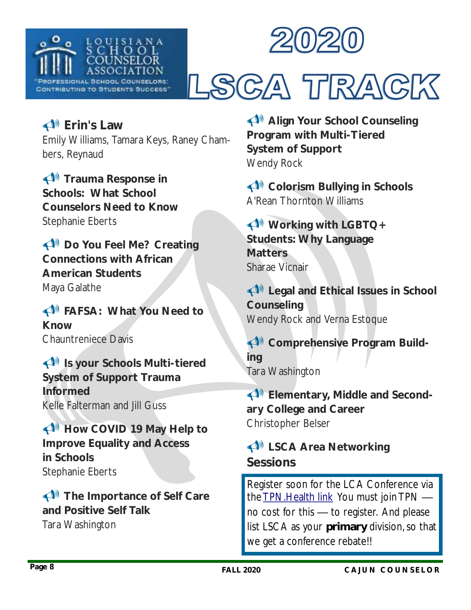

# GA TRAG

**A** Erin's Law

**SIONAL SCHOOL COI TRIBUTING TO STUDENTS SUCCESS** 

Emily Williams, Tamara Keys, Raney Chambers, Reynaud

**Trauma Response in Schools: What School Counselors Need to Know** Stephanie Eberts

 **Do You Feel Me? Creating Connections with African American Students** Maya Galathe

 **FAFSA: What You Need to Know** Chauntreniece Davis

 **Is your Schools Multi-tiered System of Support Trauma Informed** Kelle Falterman and Jill Guss

**How COVID 19 May Help to Improve Equality and Access in Schools** Stephanie Eberts

The Importance of Self Care **and Positive Self Talk** Tara Washington

**Align Your School Counseling Program with Multi-Tiered System of Support** Wendy Rock

**Colorism Bullying in Schools** A'Rean Thornton Williams

 **Working with LGBTQ+ Students: Why Language Matters** Sharae Vicnair

**A** Legal and Ethical Issues in School **Counseling** Wendy Rock and Verna Estoque

**Comprehensive Program Building** Tara Washington

Elementary, Middle and Second**ary College and Career** Christopher Belser

**C** LSCA Area Networking **Sessions**

Register soon for the LCA Conference via the **TPN.Health link** You must join TPN no cost for this — to register. And please list LSCA as your **primary** division, so that we get a conference rebate!!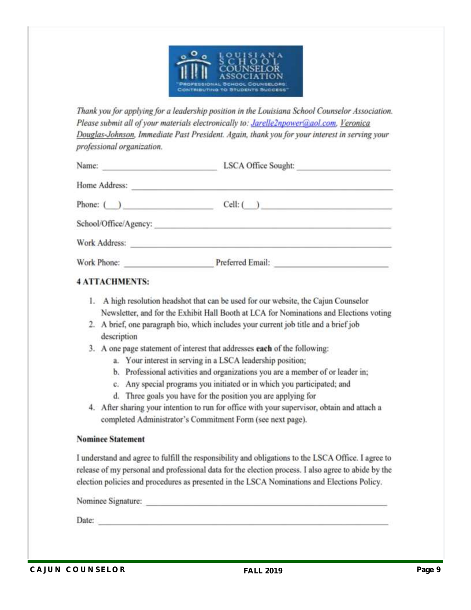

Thank you for applying for a leadership position in the Louisiana School Counselor Association. Please submit all of your materials electronically to: Jarelle2npower@aol.com, Veronica Douglas-Johnson, Immediate Past President. Again, thank you for your interest in serving your professional organization.

| Name: Name:                                      | LSCA Office Sought:                                                                                                                  |  |
|--------------------------------------------------|--------------------------------------------------------------------------------------------------------------------------------------|--|
| Home Address:                                    |                                                                                                                                      |  |
| Phone: ( )                                       | $Cell:$ $( )$                                                                                                                        |  |
|                                                  | School/Office/Agency:                                                                                                                |  |
| Work Address:                                    |                                                                                                                                      |  |
| Work Phone:<br>the company of the company of the | Preferred Email:<br>and the control of the control of the control of the control of the control of the control of the control of the |  |

#### **4 ATTACHMENTS:**

- 1. A high resolution headshot that can be used for our website, the Cajun Counselor Newsletter, and for the Exhibit Hall Booth at LCA for Nominations and Elections voting
- 2. A brief, one paragraph bio, which includes your current job title and a brief job description
- 3. A one page statement of interest that addresses each of the following:
	- a. Your interest in serving in a LSCA leadership position;
	- b. Professional activities and organizations you are a member of or leader in;
	- c. Any special programs you initiated or in which you participated; and
	- d. Three goals you have for the position you are applying for
- 4. After sharing your intention to run for office with your supervisor, obtain and attach a completed Administrator's Commitment Form (see next page).

#### **Nominee Statement**

I understand and agree to fulfill the responsibility and obligations to the LSCA Office. I agree to release of my personal and professional data for the election process. I also agree to abide by the election policies and procedures as presented in the LSCA Nominations and Elections Policy.

Date: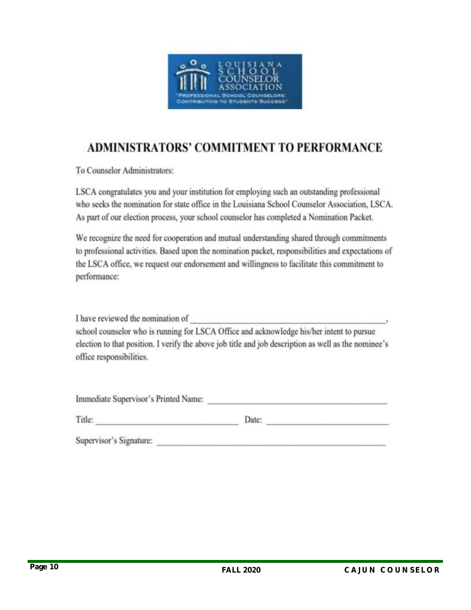

#### **ADMINISTRATORS' COMMITMENT TO PERFORMANCE**

To Counselor Administrators:

LSCA congratulates you and your institution for employing such an outstanding professional who seeks the nomination for state office in the Louisiana School Counselor Association, LSCA. As part of our election process, your school counselor has completed a Nomination Packet.

We recognize the need for cooperation and mutual understanding shared through commitments to professional activities. Based upon the nomination packet, responsibilities and expectations of the LSCA office, we request our endorsement and willingness to facilitate this commitment to performance:

I have reviewed the nomination of school counselor who is running for LSCA Office and acknowledge his/her intent to pursue election to that position. I verify the above job title and job description as well as the nominee's office responsibilities.

| Immediate Supervisor's Printed Name: |       |  |
|--------------------------------------|-------|--|
| Title:                               | Date: |  |
| Supervisor's Signature:              |       |  |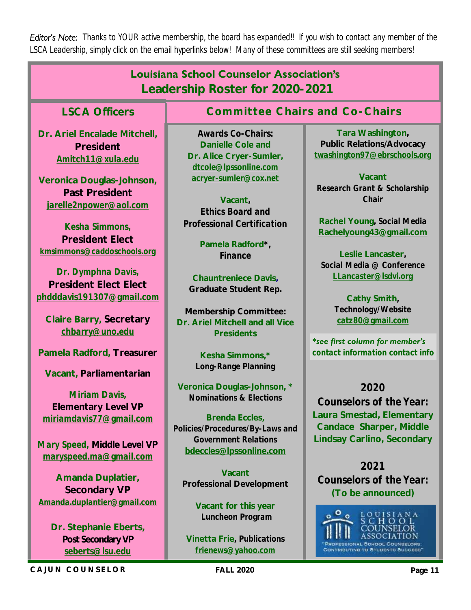*Editor's Note: Thanks to YOUR active membership, the board has expanded!! If you wish to contact any member of the LSCA Leadership, simply click on the email hyperlinks below! Many of these committees are still seeking members!* 

| <b>Louisiana School Counselor Association's</b><br>Leadership Roster for 2020-2021           |                                                                                              |                                                                                                     |  |  |
|----------------------------------------------------------------------------------------------|----------------------------------------------------------------------------------------------|-----------------------------------------------------------------------------------------------------|--|--|
| <b>LSCA Officers</b>                                                                         | Committee Chairs and Co-Chairs                                                               |                                                                                                     |  |  |
| Dr. Ariel Encalade Mitchell,<br>President<br>Amitch11@xula.edu                               | Awards Co-Chairs:<br>Danielle Cole and<br>Dr. Alice Cryer-Sumler,                            | Tara Washington,<br>Public Relations/Advocacy<br>twashington97@ebrschools.org                       |  |  |
| Veronica Douglas-Johnson,<br>Past President<br>jarelle2npower@aol.com                        | dtcole@Ipssonline.com<br>acryer-sumler@cox.net<br>Vacant,<br><b>Ethics Board and</b>         | Vacant<br>Research Grant & Scholarship<br>Chair                                                     |  |  |
| Kesha Simmons,<br><b>President Elect</b><br>kmsimmons@caddoschools.org                       | Professional Certification<br>Pamela Radford*,<br>Finance                                    | Rachel Young, Social Media<br>Rachelyoung43@gmail.com<br>Leslie Lancaster,                          |  |  |
| Dr. Dymphna Davis,<br><b>President Elect Elect</b><br>phdddavis191307@gmail.com              | Chauntreniece Davis,<br>Graduate Student Rep.                                                | Social Media @ Conference<br>LLancaster@Isdvi.org<br>Cathy Smith,                                   |  |  |
| Claire Barry, Secretary<br>chbarry@uno.edu                                                   | Membership Committee:<br>Dr. Ariel Mitchell and all Vice<br>Presidents                       | Technology/Website<br>catz80@gmail.com<br>*see first column for member's                            |  |  |
| Pamela Radford, Treasurer<br>Vacant, Parliamentarian                                         | Kesha Simmons,*<br>Long-Range Planning                                                       | contact information contact info                                                                    |  |  |
| Miriam Davis,<br><b>Elementary Level VP</b><br>miriamdavis77@gmail.com                       | Veronica Douglas-Johnson, *<br>Nominations & Elections<br>Brenda Eccles,                     | 2020<br>Counselors of the Year:<br>Laura Smestad, Elementary                                        |  |  |
| Mary Speed, Middle Level VP<br>maryspeed.ma@gmail.com                                        | Policies/Procedures/By-Laws and<br><b>Government Relations</b><br>bdeccles@Ipssonline.com    | Candace Sharper, Middle<br>Lindsay Carlino, Secondary                                               |  |  |
| Amanda Duplatier,<br>Secondary VP                                                            | Vacant<br>Professional Development                                                           | 2021<br>Counselors of the Year:<br>(To be announced)                                                |  |  |
| Amanda.duplantier@gmail.com<br>Dr. Stephanie Eberts,<br>Post Secondary VP<br>seberts@Isu.edu | Vacant for this year<br>Luncheon Program<br>Vinetta Frie, Publications<br>frienews@yahoo.com | . O U I S I A N A<br>CHOOL<br><b>SIONAL SCHOOL COUNSELORS:</b><br>CONTRIBUTING TO STUDENTS SUCCESS' |  |  |
| CAJUN COUNSELOR                                                                              | <b>FALL 2020</b>                                                                             | Page 11                                                                                             |  |  |